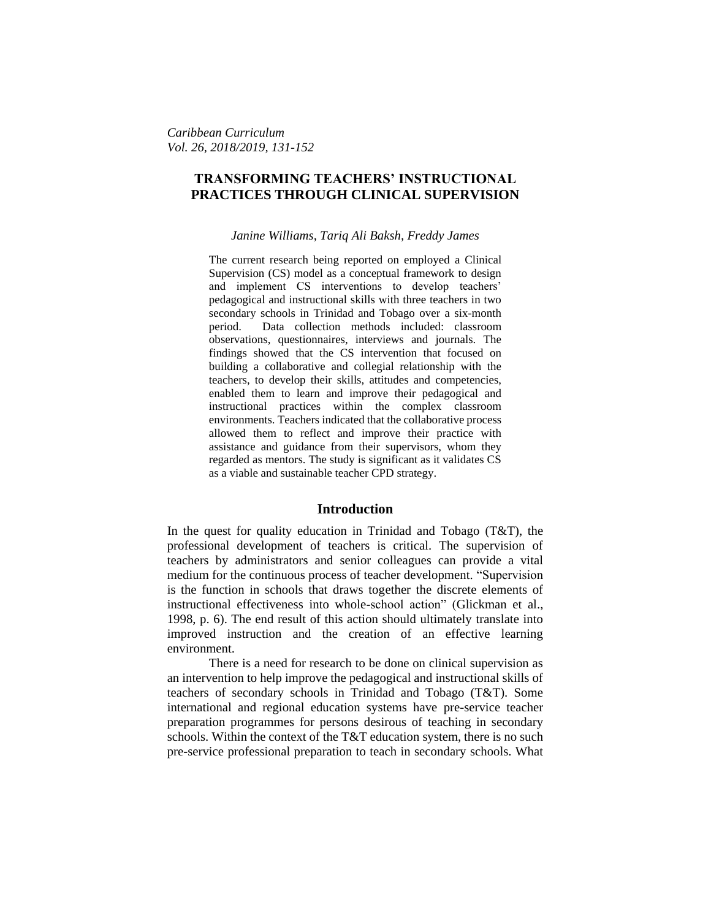*Caribbean Curriculum Vol. 26, 2018/2019, 131-152*

# **TRANSFORMING TEACHERS' INSTRUCTIONAL PRACTICES THROUGH CLINICAL SUPERVISION**

#### *Janine Williams, Tariq Ali Baksh, Freddy James*

The current research being reported on employed a Clinical Supervision (CS) model as a conceptual framework to design and implement CS interventions to develop teachers' pedagogical and instructional skills with three teachers in two secondary schools in Trinidad and Tobago over a six-month period. Data collection methods included: classroom observations, questionnaires, interviews and journals. The findings showed that the CS intervention that focused on building a collaborative and collegial relationship with the teachers, to develop their skills, attitudes and competencies, enabled them to learn and improve their pedagogical and instructional practices within the complex classroom environments. Teachers indicated that the collaborative process allowed them to reflect and improve their practice with assistance and guidance from their supervisors, whom they regarded as mentors. The study is significant as it validates CS as a viable and sustainable teacher CPD strategy.

#### **Introduction**

In the quest for quality education in Trinidad and Tobago (T&T), the professional development of teachers is critical. The supervision of teachers by administrators and senior colleagues can provide a vital medium for the continuous process of teacher development. "Supervision is the function in schools that draws together the discrete elements of instructional effectiveness into whole-school action" (Glickman et al., 1998, p. 6). The end result of this action should ultimately translate into improved instruction and the creation of an effective learning environment.

There is a need for research to be done on clinical supervision as an intervention to help improve the pedagogical and instructional skills of teachers of secondary schools in Trinidad and Tobago (T&T). Some international and regional education systems have pre-service teacher preparation programmes for persons desirous of teaching in secondary schools. Within the context of the T&T education system, there is no such pre-service professional preparation to teach in secondary schools. What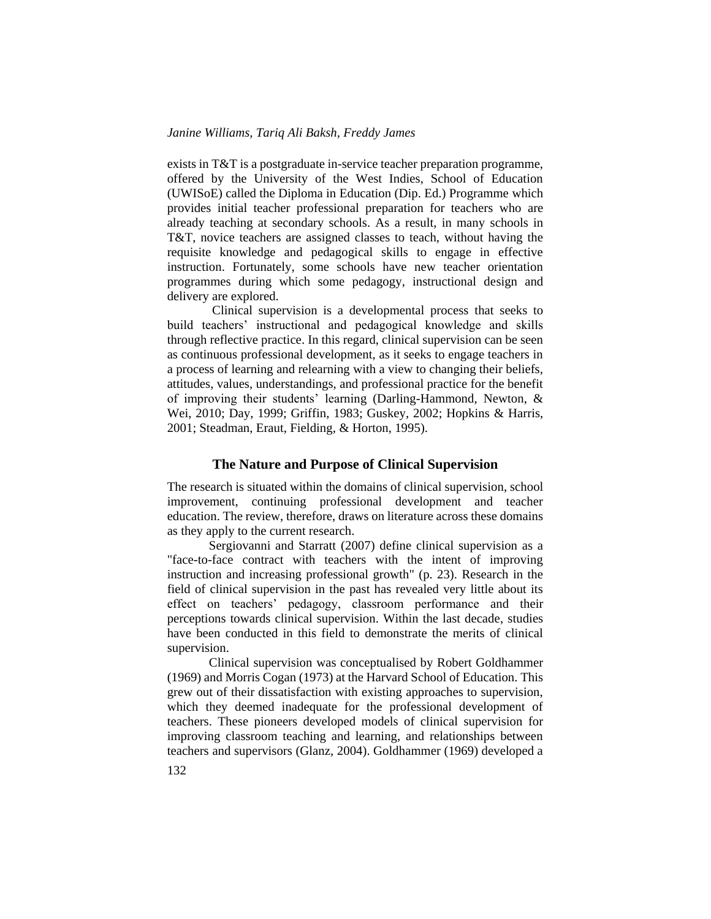exists in T&T is a postgraduate in-service teacher preparation programme, offered by the University of the West Indies, School of Education (UWISoE) called the Diploma in Education (Dip. Ed.) Programme which provides initial teacher professional preparation for teachers who are already teaching at secondary schools. As a result, in many schools in T&T, novice teachers are assigned classes to teach, without having the requisite knowledge and pedagogical skills to engage in effective instruction. Fortunately, some schools have new teacher orientation programmes during which some pedagogy, instructional design and delivery are explored.

Clinical supervision is a developmental process that seeks to build teachers' instructional and pedagogical knowledge and skills through reflective practice. In this regard, clinical supervision can be seen as continuous professional development, as it seeks to engage teachers in a process of learning and relearning with a view to changing their beliefs, attitudes, values, understandings, and professional practice for the benefit of improving their students' learning (Darling-Hammond, Newton, & Wei, 2010; Day, 1999; Griffin, 1983; Guskey, 2002; Hopkins & Harris, 2001; Steadman, Eraut, Fielding, & Horton, 1995).

#### **The Nature and Purpose of Clinical Supervision**

The research is situated within the domains of clinical supervision, school improvement, continuing professional development and teacher education. The review, therefore, draws on literature across these domains as they apply to the current research.

Sergiovanni and Starratt (2007) define clinical supervision as a "face-to-face contract with teachers with the intent of improving instruction and increasing professional growth" (p. 23). Research in the field of clinical supervision in the past has revealed very little about its effect on teachers' pedagogy, classroom performance and their perceptions towards clinical supervision. Within the last decade, studies have been conducted in this field to demonstrate the merits of clinical supervision.

Clinical supervision was conceptualised by Robert Goldhammer (1969) and Morris Cogan (1973) at the Harvard School of Education. This grew out of their dissatisfaction with existing approaches to supervision, which they deemed inadequate for the professional development of teachers. These pioneers developed models of clinical supervision for improving classroom teaching and learning, and relationships between teachers and supervisors (Glanz, 2004). Goldhammer (1969) developed a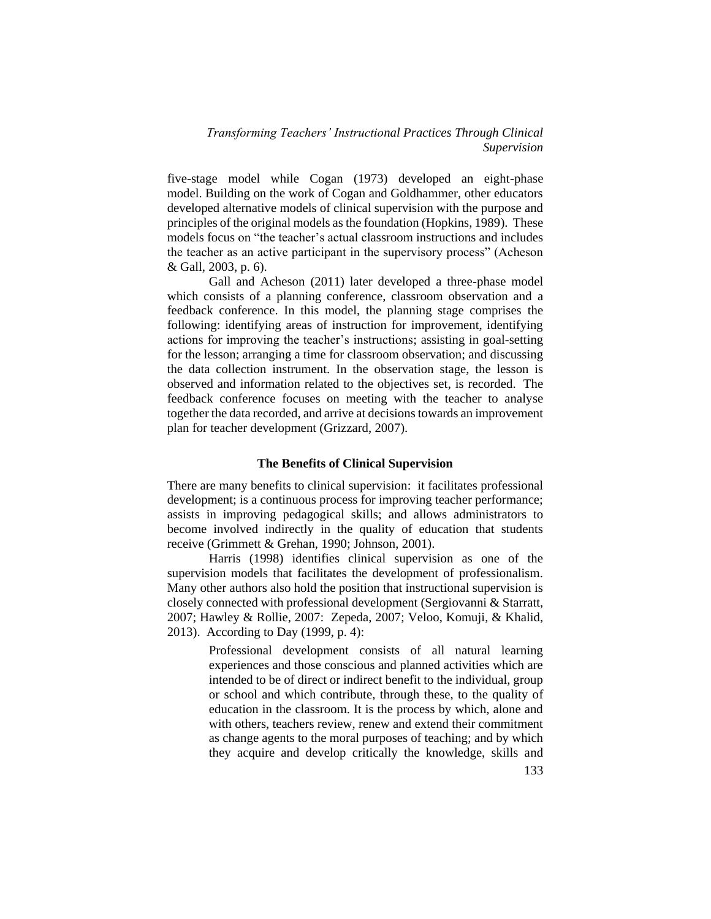five-stage model while Cogan (1973) developed an eight-phase model. Building on the work of Cogan and Goldhammer, other educators developed alternative models of clinical supervision with the purpose and principles of the original models as the foundation (Hopkins, 1989). These models focus on "the teacher's actual classroom instructions and includes the teacher as an active participant in the supervisory process" (Acheson & Gall, 2003, p. 6).

Gall and Acheson (2011) later developed a three-phase model which consists of a planning conference, classroom observation and a feedback conference. In this model, the planning stage comprises the following: identifying areas of instruction for improvement, identifying actions for improving the teacher's instructions; assisting in goal-setting for the lesson; arranging a time for classroom observation; and discussing the data collection instrument. In the observation stage, the lesson is observed and information related to the objectives set, is recorded. The feedback conference focuses on meeting with the teacher to analyse together the data recorded, and arrive at decisions towards an improvement plan for teacher development (Grizzard, 2007).

## **The Benefits of Clinical Supervision**

There are many benefits to clinical supervision: it facilitates professional development; is a continuous process for improving teacher performance; assists in improving pedagogical skills; and allows administrators to become involved indirectly in the quality of education that students receive (Grimmett & Grehan, 1990; Johnson, 2001).

Harris (1998) identifies clinical supervision as one of the supervision models that facilitates the development of professionalism. Many other authors also hold the position that instructional supervision is closely connected with professional development (Sergiovanni & Starratt, 2007; Hawley & Rollie, 2007: Zepeda, 2007; Veloo, Komuji, & Khalid, 2013). According to Day (1999, p. 4):

> Professional development consists of all natural learning experiences and those conscious and planned activities which are intended to be of direct or indirect benefit to the individual, group or school and which contribute, through these, to the quality of education in the classroom. It is the process by which, alone and with others, teachers review, renew and extend their commitment as change agents to the moral purposes of teaching; and by which they acquire and develop critically the knowledge, skills and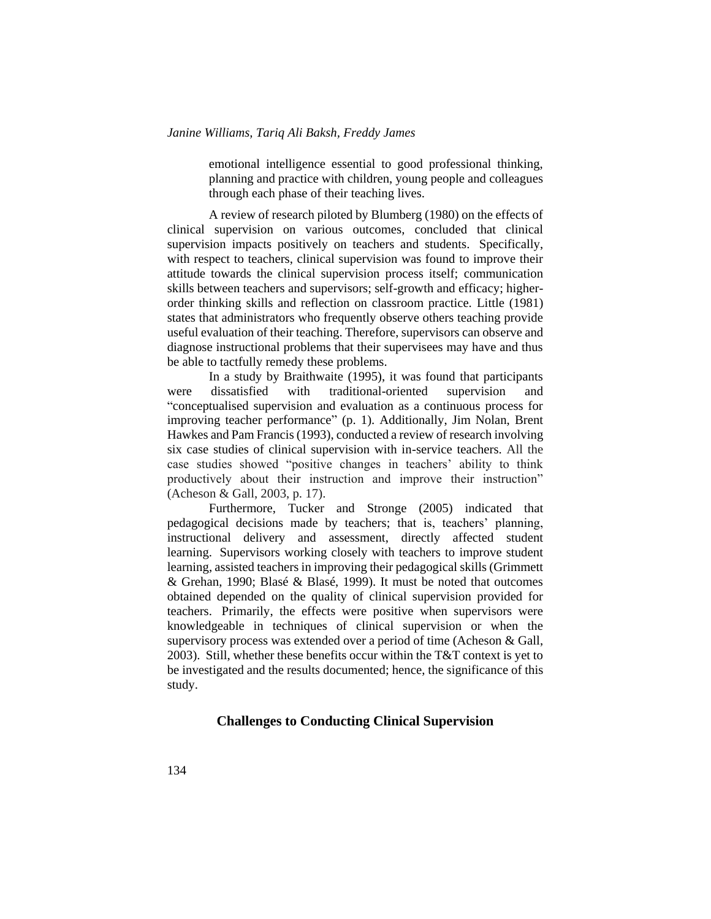emotional intelligence essential to good professional thinking, planning and practice with children, young people and colleagues through each phase of their teaching lives.

A review of research piloted by Blumberg (1980) on the effects of clinical supervision on various outcomes, concluded that clinical supervision impacts positively on teachers and students. Specifically, with respect to teachers, clinical supervision was found to improve their attitude towards the clinical supervision process itself; communication skills between teachers and supervisors; self-growth and efficacy; higherorder thinking skills and reflection on classroom practice. Little (1981) states that administrators who frequently observe others teaching provide useful evaluation of their teaching. Therefore, supervisors can observe and diagnose instructional problems that their supervisees may have and thus be able to tactfully remedy these problems.

In a study by Braithwaite (1995), it was found that participants were dissatisfied with traditional-oriented supervision and "conceptualised supervision and evaluation as a continuous process for improving teacher performance" (p. 1). Additionally, Jim Nolan, Brent Hawkes and Pam Francis (1993), conducted a review of research involving six case studies of clinical supervision with in-service teachers. All the case studies showed "positive changes in teachers' ability to think productively about their instruction and improve their instruction" (Acheson & Gall, 2003, p. 17).

Furthermore, Tucker and Stronge (2005) indicated that pedagogical decisions made by teachers; that is, teachers' planning, instructional delivery and assessment, directly affected student learning. Supervisors working closely with teachers to improve student learning, assisted teachers in improving their pedagogical skills (Grimmett & Grehan, 1990; Blasé & Blasé, 1999). It must be noted that outcomes obtained depended on the quality of clinical supervision provided for teachers. Primarily, the effects were positive when supervisors were knowledgeable in techniques of clinical supervision or when the supervisory process was extended over a period of time (Acheson & Gall, 2003). Still, whether these benefits occur within the  $T&T$  context is yet to be investigated and the results documented; hence, the significance of this study.

# **Challenges to Conducting Clinical Supervision**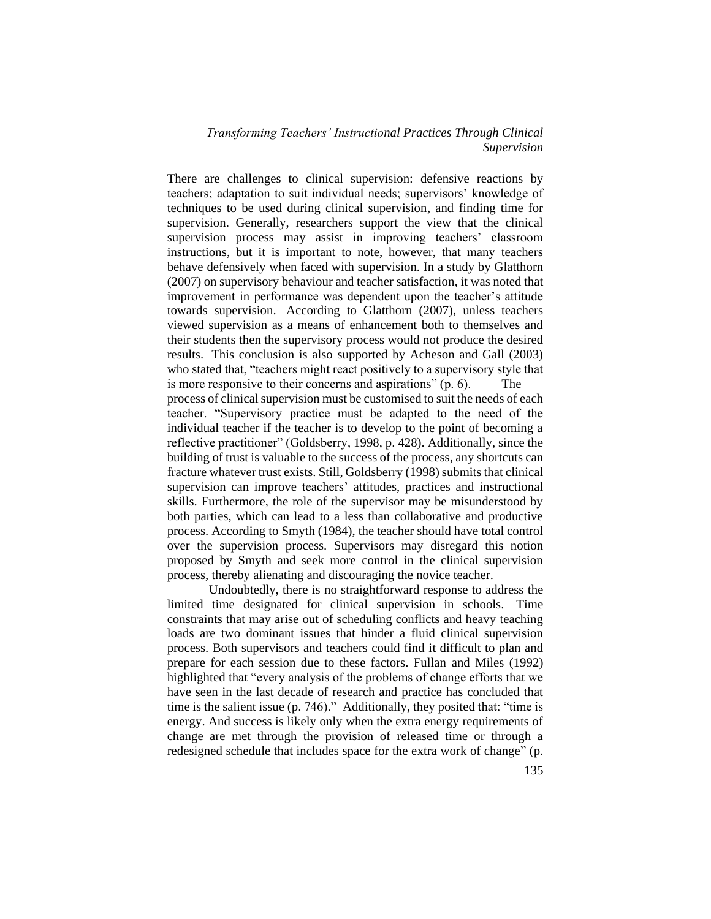There are challenges to clinical supervision: defensive reactions by teachers; adaptation to suit individual needs; supervisors' knowledge of techniques to be used during clinical supervision, and finding time for supervision. Generally, researchers support the view that the clinical supervision process may assist in improving teachers' classroom instructions, but it is important to note, however, that many teachers behave defensively when faced with supervision. In a study by Glatthorn (2007) on supervisory behaviour and teacher satisfaction, it was noted that improvement in performance was dependent upon the teacher's attitude towards supervision. According to Glatthorn (2007), unless teachers viewed supervision as a means of enhancement both to themselves and their students then the supervisory process would not produce the desired results. This conclusion is also supported by Acheson and Gall (2003) who stated that, "teachers might react positively to a supervisory style that is more responsive to their concerns and aspirations"  $(p, 6)$ . process of clinical supervision must be customised to suit the needs of each teacher. "Supervisory practice must be adapted to the need of the individual teacher if the teacher is to develop to the point of becoming a reflective practitioner" (Goldsberry, 1998, p. 428). Additionally, since the building of trust is valuable to the success of the process, any shortcuts can fracture whatever trust exists. Still, Goldsberry (1998) submits that clinical supervision can improve teachers' attitudes, practices and instructional skills. Furthermore, the role of the supervisor may be misunderstood by both parties, which can lead to a less than collaborative and productive process. According to Smyth (1984), the teacher should have total control over the supervision process. Supervisors may disregard this notion proposed by Smyth and seek more control in the clinical supervision

Undoubtedly, there is no straightforward response to address the limited time designated for clinical supervision in schools. Time constraints that may arise out of scheduling conflicts and heavy teaching loads are two dominant issues that hinder a fluid clinical supervision process. Both supervisors and teachers could find it difficult to plan and prepare for each session due to these factors. Fullan and Miles (1992) highlighted that "every analysis of the problems of change efforts that we have seen in the last decade of research and practice has concluded that time is the salient issue (p. 746)." Additionally, they posited that: "time is energy. And success is likely only when the extra energy requirements of change are met through the provision of released time or through a redesigned schedule that includes space for the extra work of change" (p.

process, thereby alienating and discouraging the novice teacher.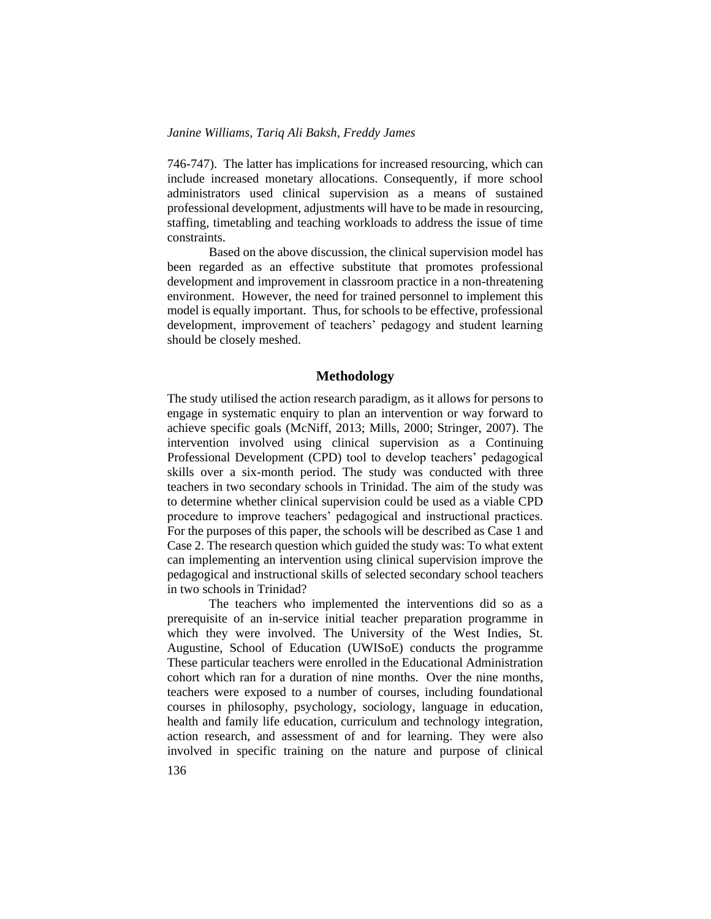746-747). The latter has implications for increased resourcing, which can include increased monetary allocations. Consequently, if more school administrators used clinical supervision as a means of sustained professional development, adjustments will have to be made in resourcing, staffing, timetabling and teaching workloads to address the issue of time constraints.

Based on the above discussion, the clinical supervision model has been regarded as an effective substitute that promotes professional development and improvement in classroom practice in a non-threatening environment. However, the need for trained personnel to implement this model is equally important. Thus, for schools to be effective, professional development, improvement of teachers' pedagogy and student learning should be closely meshed.

#### **Methodology**

The study utilised the action research paradigm, as it allows for persons to engage in systematic enquiry to plan an intervention or way forward to achieve specific goals (McNiff, 2013; Mills, 2000; Stringer, 2007). The intervention involved using clinical supervision as a Continuing Professional Development (CPD) tool to develop teachers' pedagogical skills over a six-month period. The study was conducted with three teachers in two secondary schools in Trinidad. The aim of the study was to determine whether clinical supervision could be used as a viable CPD procedure to improve teachers' pedagogical and instructional practices. For the purposes of this paper, the schools will be described as Case 1 and Case 2. The research question which guided the study was: To what extent can implementing an intervention using clinical supervision improve the pedagogical and instructional skills of selected secondary school teachers in two schools in Trinidad?

The teachers who implemented the interventions did so as a prerequisite of an in-service initial teacher preparation programme in which they were involved. The University of the West Indies, St. Augustine, School of Education (UWISoE) conducts the programme These particular teachers were enrolled in the Educational Administration cohort which ran for a duration of nine months. Over the nine months, teachers were exposed to a number of courses, including foundational courses in philosophy, psychology, sociology, language in education, health and family life education, curriculum and technology integration, action research, and assessment of and for learning. They were also involved in specific training on the nature and purpose of clinical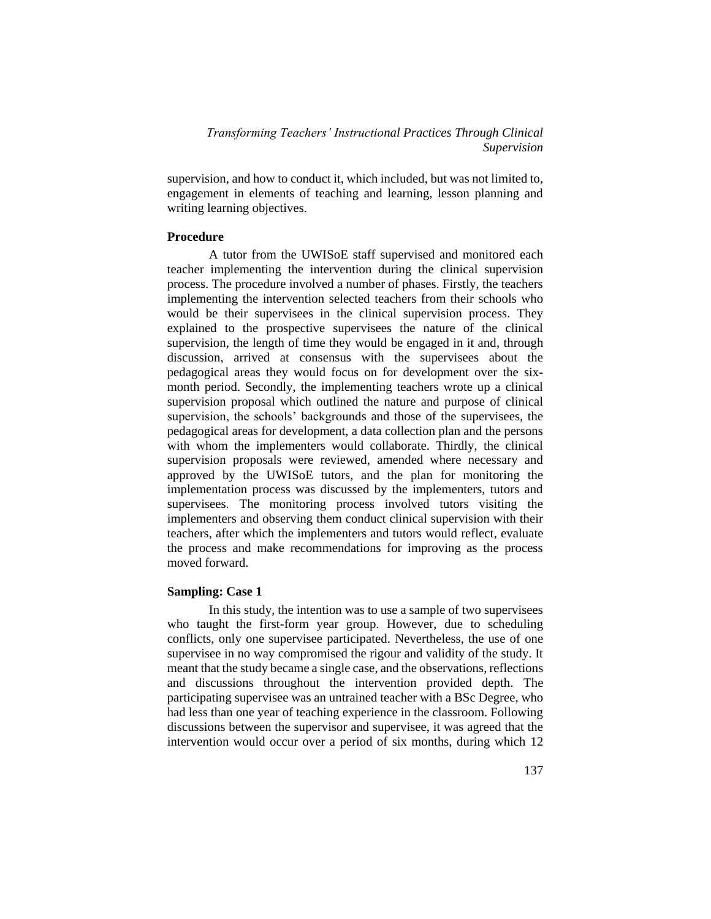supervision, and how to conduct it, which included, but was not limited to, engagement in elements of teaching and learning, lesson planning and writing learning objectives.

## **Procedure**

A tutor from the UWISoE staff supervised and monitored each teacher implementing the intervention during the clinical supervision process. The procedure involved a number of phases. Firstly, the teachers implementing the intervention selected teachers from their schools who would be their supervisees in the clinical supervision process. They explained to the prospective supervisees the nature of the clinical supervision, the length of time they would be engaged in it and, through discussion, arrived at consensus with the supervisees about the pedagogical areas they would focus on for development over the sixmonth period. Secondly, the implementing teachers wrote up a clinical supervision proposal which outlined the nature and purpose of clinical supervision, the schools' backgrounds and those of the supervisees, the pedagogical areas for development, a data collection plan and the persons with whom the implementers would collaborate. Thirdly, the clinical supervision proposals were reviewed, amended where necessary and approved by the UWISoE tutors, and the plan for monitoring the implementation process was discussed by the implementers, tutors and supervisees. The monitoring process involved tutors visiting the implementers and observing them conduct clinical supervision with their teachers, after which the implementers and tutors would reflect, evaluate the process and make recommendations for improving as the process moved forward.

## **Sampling: Case 1**

In this study, the intention was to use a sample of two supervisees who taught the first-form year group. However, due to scheduling conflicts, only one supervisee participated. Nevertheless, the use of one supervisee in no way compromised the rigour and validity of the study. It meant that the study became a single case, and the observations, reflections and discussions throughout the intervention provided depth. The participating supervisee was an untrained teacher with a BSc Degree, who had less than one year of teaching experience in the classroom. Following discussions between the supervisor and supervisee, it was agreed that the intervention would occur over a period of six months, during which 12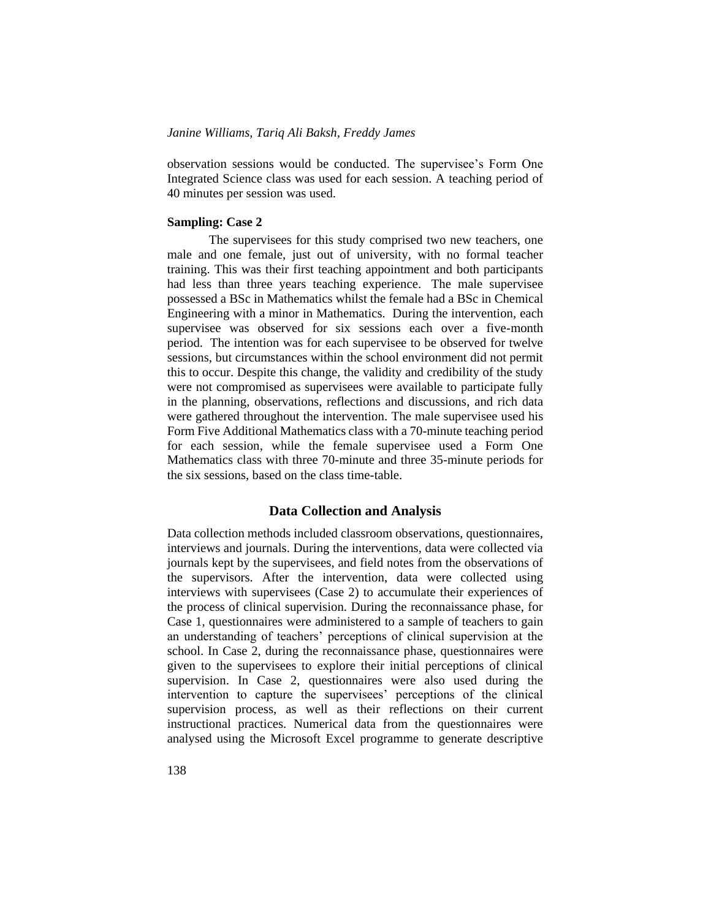observation sessions would be conducted. The supervisee's Form One Integrated Science class was used for each session. A teaching period of 40 minutes per session was used.

## **Sampling: Case 2**

The supervisees for this study comprised two new teachers, one male and one female, just out of university, with no formal teacher training. This was their first teaching appointment and both participants had less than three years teaching experience. The male supervisee possessed a BSc in Mathematics whilst the female had a BSc in Chemical Engineering with a minor in Mathematics. During the intervention, each supervisee was observed for six sessions each over a five-month period. The intention was for each supervisee to be observed for twelve sessions, but circumstances within the school environment did not permit this to occur. Despite this change, the validity and credibility of the study were not compromised as supervisees were available to participate fully in the planning, observations, reflections and discussions, and rich data were gathered throughout the intervention. The male supervisee used his Form Five Additional Mathematics class with a 70-minute teaching period for each session, while the female supervisee used a Form One Mathematics class with three 70-minute and three 35-minute periods for the six sessions, based on the class time-table.

#### **Data Collection and Analysis**

Data collection methods included classroom observations, questionnaires, interviews and journals. During the interventions, data were collected via journals kept by the supervisees, and field notes from the observations of the supervisors. After the intervention, data were collected using interviews with supervisees (Case 2) to accumulate their experiences of the process of clinical supervision. During the reconnaissance phase, for Case 1, questionnaires were administered to a sample of teachers to gain an understanding of teachers' perceptions of clinical supervision at the school. In Case 2, during the reconnaissance phase, questionnaires were given to the supervisees to explore their initial perceptions of clinical supervision. In Case 2, questionnaires were also used during the intervention to capture the supervisees' perceptions of the clinical supervision process, as well as their reflections on their current instructional practices. Numerical data from the questionnaires were analysed using the Microsoft Excel programme to generate descriptive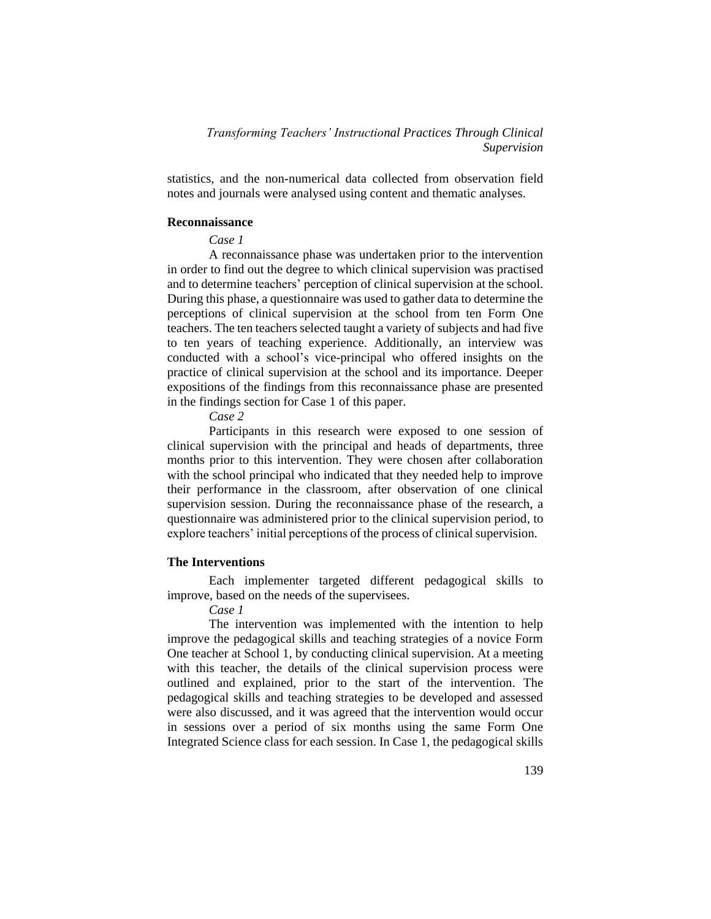statistics, and the non-numerical data collected from observation field notes and journals were analysed using content and thematic analyses.

## **Reconnaissance**

## *Case 1*

A reconnaissance phase was undertaken prior to the intervention in order to find out the degree to which clinical supervision was practised and to determine teachers' perception of clinical supervision at the school. During this phase, a questionnaire was used to gather data to determine the perceptions of clinical supervision at the school from ten Form One teachers. The ten teachers selected taught a variety of subjects and had five to ten years of teaching experience. Additionally, an interview was conducted with a school's vice-principal who offered insights on the practice of clinical supervision at the school and its importance. Deeper expositions of the findings from this reconnaissance phase are presented in the findings section for Case 1 of this paper.

*Case 2*

Participants in this research were exposed to one session of clinical supervision with the principal and heads of departments, three months prior to this intervention. They were chosen after collaboration with the school principal who indicated that they needed help to improve their performance in the classroom, after observation of one clinical supervision session. During the reconnaissance phase of the research, a questionnaire was administered prior to the clinical supervision period, to explore teachers' initial perceptions of the process of clinical supervision.

## **The Interventions**

Each implementer targeted different pedagogical skills to improve, based on the needs of the supervisees.

*Case 1*

The intervention was implemented with the intention to help improve the pedagogical skills and teaching strategies of a novice Form One teacher at School 1, by conducting clinical supervision. At a meeting with this teacher, the details of the clinical supervision process were outlined and explained, prior to the start of the intervention. The pedagogical skills and teaching strategies to be developed and assessed were also discussed, and it was agreed that the intervention would occur in sessions over a period of six months using the same Form One Integrated Science class for each session. In Case 1, the pedagogical skills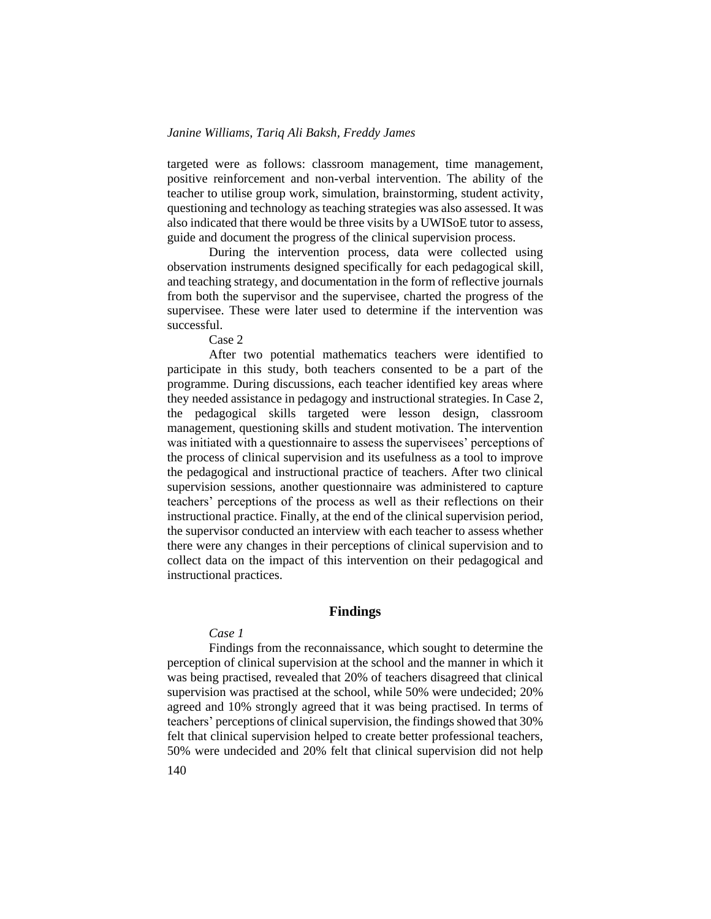targeted were as follows: classroom management, time management, positive reinforcement and non-verbal intervention. The ability of the teacher to utilise group work, simulation, brainstorming, student activity, questioning and technology as teaching strategies was also assessed. It was also indicated that there would be three visits by a UWISoE tutor to assess, guide and document the progress of the clinical supervision process.

During the intervention process, data were collected using observation instruments designed specifically for each pedagogical skill, and teaching strategy, and documentation in the form of reflective journals from both the supervisor and the supervisee, charted the progress of the supervisee. These were later used to determine if the intervention was successful.

Case 2

After two potential mathematics teachers were identified to participate in this study, both teachers consented to be a part of the programme. During discussions, each teacher identified key areas where they needed assistance in pedagogy and instructional strategies. In Case 2, the pedagogical skills targeted were lesson design, classroom management, questioning skills and student motivation. The intervention was initiated with a questionnaire to assess the supervisees' perceptions of the process of clinical supervision and its usefulness as a tool to improve the pedagogical and instructional practice of teachers. After two clinical supervision sessions, another questionnaire was administered to capture teachers' perceptions of the process as well as their reflections on their instructional practice. Finally, at the end of the clinical supervision period, the supervisor conducted an interview with each teacher to assess whether there were any changes in their perceptions of clinical supervision and to collect data on the impact of this intervention on their pedagogical and instructional practices.

#### **Findings**

#### *Case 1*

Findings from the reconnaissance, which sought to determine the perception of clinical supervision at the school and the manner in which it was being practised, revealed that 20% of teachers disagreed that clinical supervision was practised at the school, while 50% were undecided; 20% agreed and 10% strongly agreed that it was being practised. In terms of teachers' perceptions of clinical supervision, the findings showed that 30% felt that clinical supervision helped to create better professional teachers, 50% were undecided and 20% felt that clinical supervision did not help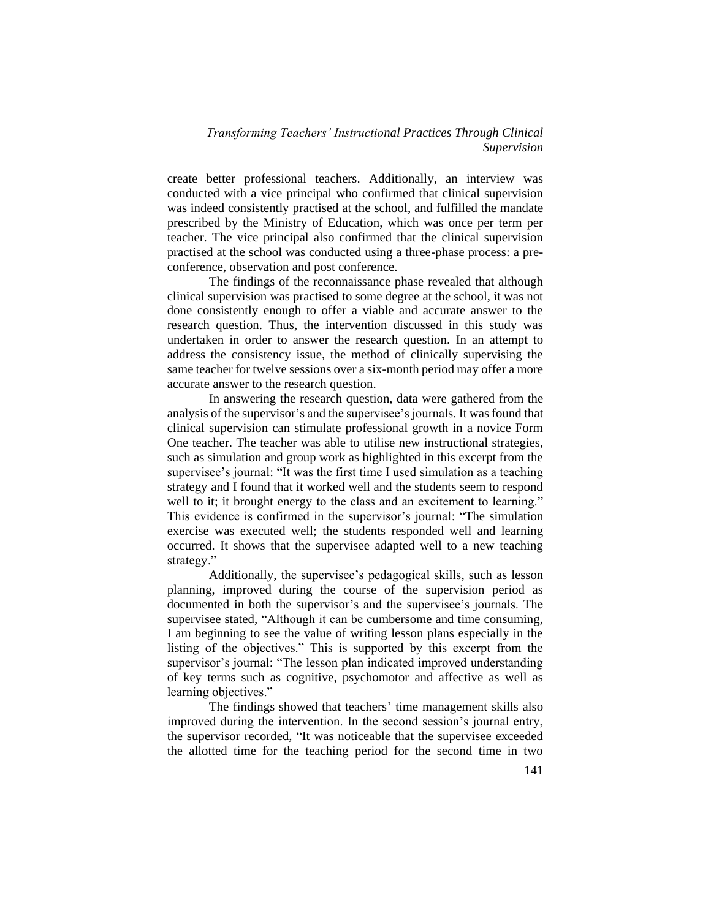create better professional teachers. Additionally, an interview was conducted with a vice principal who confirmed that clinical supervision was indeed consistently practised at the school, and fulfilled the mandate prescribed by the Ministry of Education, which was once per term per teacher. The vice principal also confirmed that the clinical supervision practised at the school was conducted using a three-phase process: a preconference, observation and post conference.

The findings of the reconnaissance phase revealed that although clinical supervision was practised to some degree at the school, it was not done consistently enough to offer a viable and accurate answer to the research question. Thus, the intervention discussed in this study was undertaken in order to answer the research question. In an attempt to address the consistency issue, the method of clinically supervising the same teacher for twelve sessions over a six-month period may offer a more accurate answer to the research question.

In answering the research question, data were gathered from the analysis of the supervisor's and the supervisee's journals. It was found that clinical supervision can stimulate professional growth in a novice Form One teacher. The teacher was able to utilise new instructional strategies, such as simulation and group work as highlighted in this excerpt from the supervisee's journal: "It was the first time I used simulation as a teaching strategy and I found that it worked well and the students seem to respond well to it; it brought energy to the class and an excitement to learning." This evidence is confirmed in the supervisor's journal: "The simulation exercise was executed well; the students responded well and learning occurred. It shows that the supervisee adapted well to a new teaching strategy."

Additionally, the supervisee's pedagogical skills, such as lesson planning, improved during the course of the supervision period as documented in both the supervisor's and the supervisee's journals. The supervisee stated, "Although it can be cumbersome and time consuming, I am beginning to see the value of writing lesson plans especially in the listing of the objectives." This is supported by this excerpt from the supervisor's journal: "The lesson plan indicated improved understanding of key terms such as cognitive, psychomotor and affective as well as learning objectives."

The findings showed that teachers' time management skills also improved during the intervention. In the second session's journal entry, the supervisor recorded, "It was noticeable that the supervisee exceeded the allotted time for the teaching period for the second time in two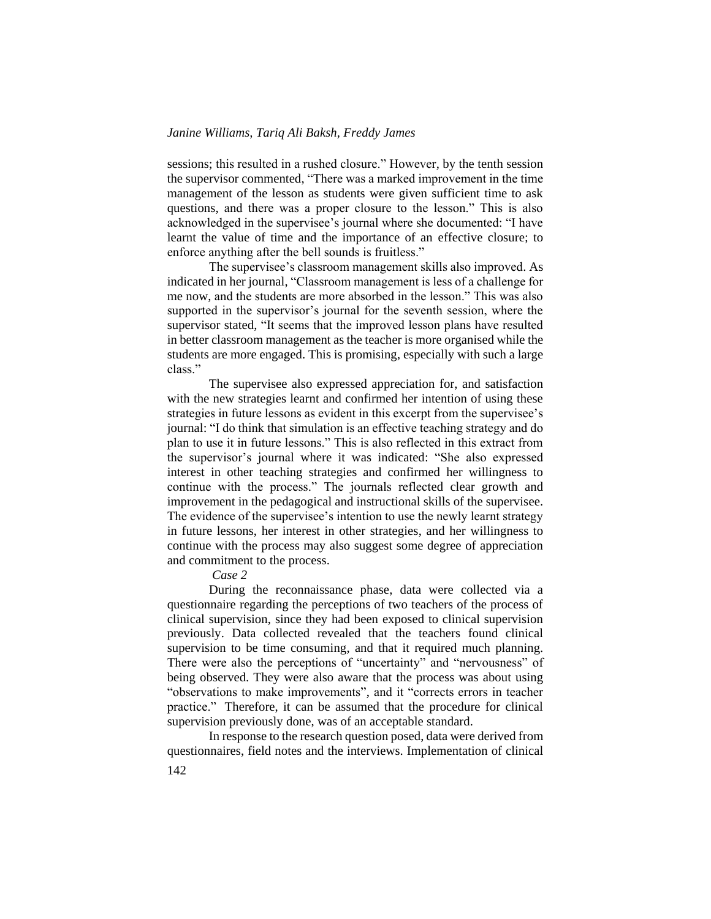sessions; this resulted in a rushed closure." However, by the tenth session the supervisor commented, "There was a marked improvement in the time management of the lesson as students were given sufficient time to ask questions, and there was a proper closure to the lesson." This is also acknowledged in the supervisee's journal where she documented: "I have learnt the value of time and the importance of an effective closure; to enforce anything after the bell sounds is fruitless."

The supervisee's classroom management skills also improved. As indicated in her journal, "Classroom management is less of a challenge for me now, and the students are more absorbed in the lesson." This was also supported in the supervisor's journal for the seventh session, where the supervisor stated, "It seems that the improved lesson plans have resulted in better classroom management as the teacher is more organised while the students are more engaged. This is promising, especially with such a large class."

The supervisee also expressed appreciation for, and satisfaction with the new strategies learnt and confirmed her intention of using these strategies in future lessons as evident in this excerpt from the supervisee's journal: "I do think that simulation is an effective teaching strategy and do plan to use it in future lessons." This is also reflected in this extract from the supervisor's journal where it was indicated: "She also expressed interest in other teaching strategies and confirmed her willingness to continue with the process." The journals reflected clear growth and improvement in the pedagogical and instructional skills of the supervisee. The evidence of the supervisee's intention to use the newly learnt strategy in future lessons, her interest in other strategies, and her willingness to continue with the process may also suggest some degree of appreciation and commitment to the process.

# *Case 2*

During the reconnaissance phase, data were collected via a questionnaire regarding the perceptions of two teachers of the process of clinical supervision, since they had been exposed to clinical supervision previously. Data collected revealed that the teachers found clinical supervision to be time consuming, and that it required much planning. There were also the perceptions of "uncertainty" and "nervousness" of being observed. They were also aware that the process was about using "observations to make improvements", and it "corrects errors in teacher practice." Therefore, it can be assumed that the procedure for clinical supervision previously done, was of an acceptable standard.

In response to the research question posed, data were derived from questionnaires, field notes and the interviews. Implementation of clinical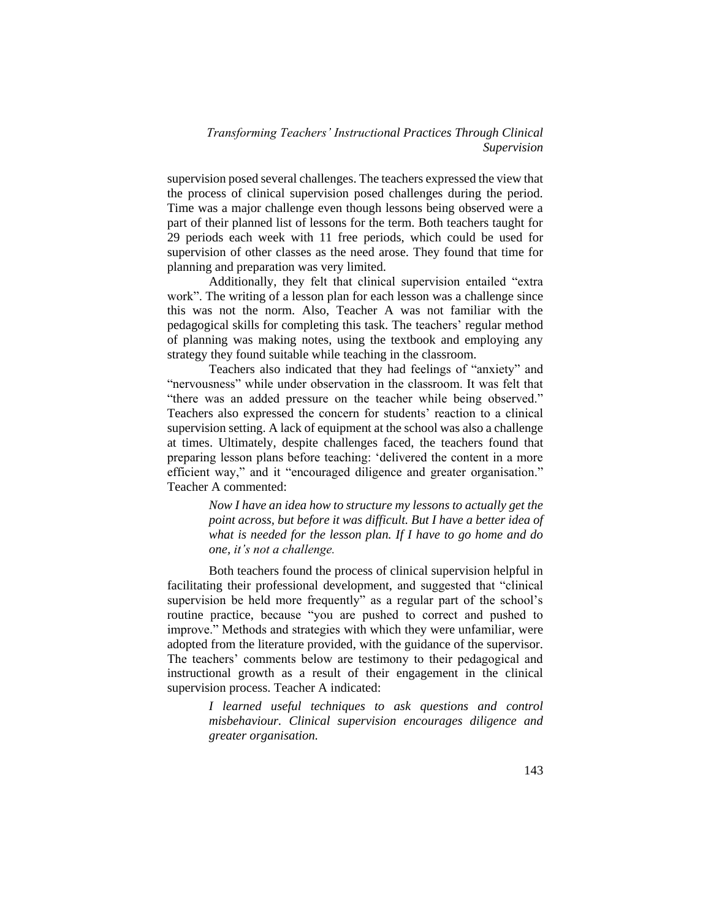supervision posed several challenges. The teachers expressed the view that the process of clinical supervision posed challenges during the period. Time was a major challenge even though lessons being observed were a part of their planned list of lessons for the term. Both teachers taught for 29 periods each week with 11 free periods, which could be used for supervision of other classes as the need arose. They found that time for planning and preparation was very limited.

Additionally, they felt that clinical supervision entailed "extra work". The writing of a lesson plan for each lesson was a challenge since this was not the norm. Also, Teacher A was not familiar with the pedagogical skills for completing this task. The teachers' regular method of planning was making notes, using the textbook and employing any strategy they found suitable while teaching in the classroom.

Teachers also indicated that they had feelings of "anxiety" and "nervousness" while under observation in the classroom. It was felt that "there was an added pressure on the teacher while being observed." Teachers also expressed the concern for students' reaction to a clinical supervision setting. A lack of equipment at the school was also a challenge at times. Ultimately, despite challenges faced, the teachers found that preparing lesson plans before teaching: 'delivered the content in a more efficient way," and it "encouraged diligence and greater organisation." Teacher A commented:

> *Now I have an idea how to structure my lessons to actually get the point across, but before it was difficult. But I have a better idea of what is needed for the lesson plan. If I have to go home and do one, it's not a challenge.*

Both teachers found the process of clinical supervision helpful in facilitating their professional development, and suggested that "clinical supervision be held more frequently" as a regular part of the school's routine practice, because "you are pushed to correct and pushed to improve." Methods and strategies with which they were unfamiliar, were adopted from the literature provided, with the guidance of the supervisor. The teachers' comments below are testimony to their pedagogical and instructional growth as a result of their engagement in the clinical supervision process. Teacher A indicated:

> *I learned useful techniques to ask questions and control misbehaviour. Clinical supervision encourages diligence and greater organisation.*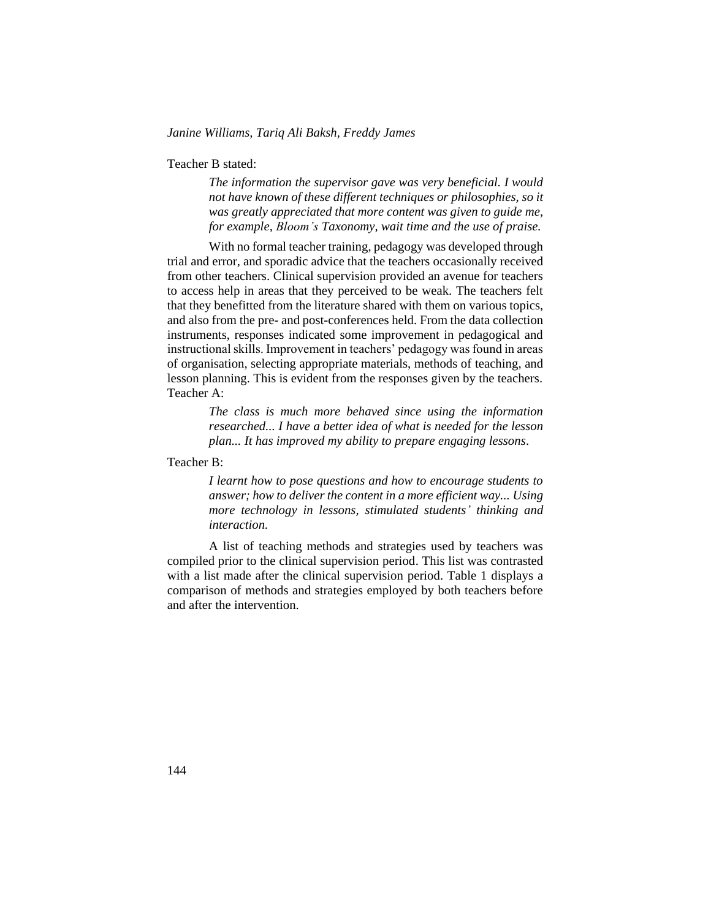Teacher B stated:

*The information the supervisor gave was very beneficial. I would not have known of these different techniques or philosophies, so it was greatly appreciated that more content was given to guide me, for example, Bloom's Taxonomy, wait time and the use of praise.*

With no formal teacher training, pedagogy was developed through trial and error, and sporadic advice that the teachers occasionally received from other teachers. Clinical supervision provided an avenue for teachers to access help in areas that they perceived to be weak. The teachers felt that they benefitted from the literature shared with them on various topics, and also from the pre- and post-conferences held. From the data collection instruments, responses indicated some improvement in pedagogical and instructional skills. Improvement in teachers' pedagogy was found in areas of organisation, selecting appropriate materials, methods of teaching, and lesson planning. This is evident from the responses given by the teachers. Teacher A:

> *The class is much more behaved since using the information researched... I have a better idea of what is needed for the lesson plan... It has improved my ability to prepare engaging lessons*.

Teacher B:

*I learnt how to pose questions and how to encourage students to answer; how to deliver the content in a more efficient way... Using more technology in lessons, stimulated students' thinking and interaction.*

A list of teaching methods and strategies used by teachers was compiled prior to the clinical supervision period. This list was contrasted with a list made after the clinical supervision period. Table 1 displays a comparison of methods and strategies employed by both teachers before and after the intervention.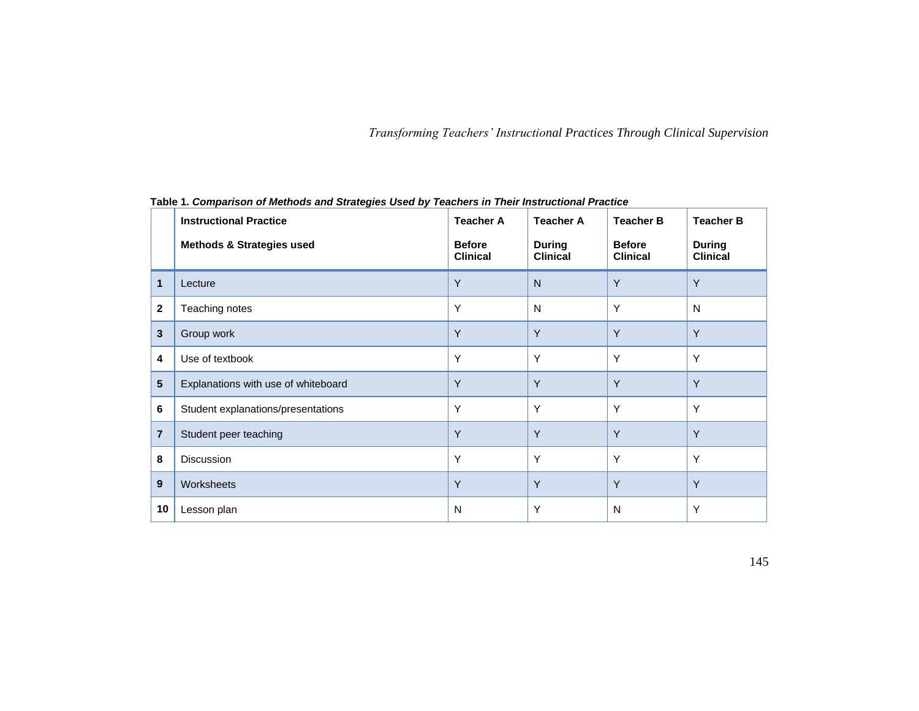|                | <b>Instructional Practice</b>        | <b>Teacher A</b>                 | <b>Teacher A</b>                 | <b>Teacher B</b>                 | <b>Teacher B</b>                 |
|----------------|--------------------------------------|----------------------------------|----------------------------------|----------------------------------|----------------------------------|
|                | <b>Methods &amp; Strategies used</b> | <b>Before</b><br><b>Clinical</b> | <b>During</b><br><b>Clinical</b> | <b>Before</b><br><b>Clinical</b> | <b>During</b><br><b>Clinical</b> |
| 1              | Lecture                              | Y                                | N                                | Y                                | Y                                |
| $\mathbf{2}$   | Teaching notes                       | Υ                                | N                                | Y                                | N                                |
| 3              | Group work                           | Y                                | Y                                | Y                                | Y                                |
| 4              | Use of textbook                      | Υ                                | Y                                | Y                                | Y                                |
| 5              | Explanations with use of whiteboard  | Y                                | Y                                | Y                                | Y                                |
| 6              | Student explanations/presentations   | Y                                | Y                                | Y                                | Y                                |
| $\overline{7}$ | Student peer teaching                | Y                                | Y                                | Y                                | Y                                |
| 8              | <b>Discussion</b>                    | Υ                                | Y                                | Y                                | Y                                |
| 9              | Worksheets                           | Y                                | Y                                | Y                                | Y                                |
| 10             | Lesson plan                          | N                                | Υ                                | N                                | Y                                |

**Table 1.** *Comparison of Methods and Strategies Used by Teachers in Their Instructional Practice*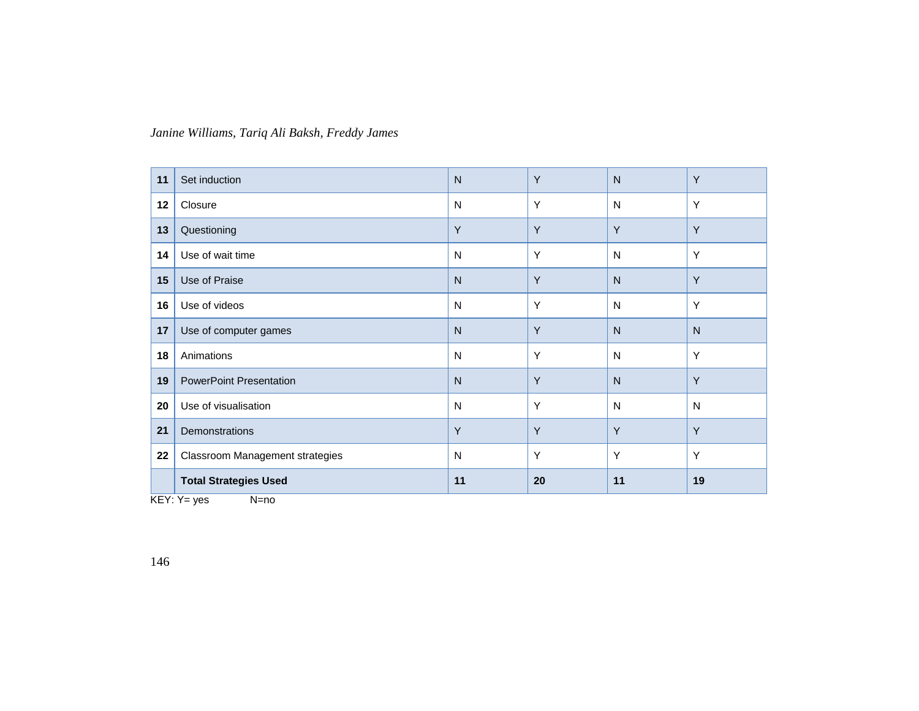| 22 | Classroom Management strategies<br><b>Total Strategies Used</b> | N<br>11      | Y<br>20 | Y<br>11      | Y<br>19 |
|----|-----------------------------------------------------------------|--------------|---------|--------------|---------|
| 21 | Demonstrations                                                  | Y            | Y       | Y            | Y       |
| 20 | Use of visualisation                                            | N            | Y       | N            | N       |
| 19 | <b>PowerPoint Presentation</b>                                  | N            | Y       | $\mathsf{N}$ | Y       |
| 18 | Animations                                                      | ${\sf N}$    | Y       | N            | Y       |
| 17 | Use of computer games                                           | $\mathsf{N}$ | Y       | N            | N       |
| 16 | Use of videos                                                   | N            | Y       | N            | Y       |
| 15 | Use of Praise                                                   | N            | Y       | $\mathsf{N}$ | Y       |
| 14 | Use of wait time                                                | N            | Y       | N            | Y       |
| 13 | Questioning                                                     | Y            | Y       | Y            | Y       |
| 12 | Closure                                                         | N            | Y       | N            | Y       |
| 11 | Set induction                                                   | $\mathsf{N}$ | Y       | $\mathsf{N}$ | Y       |

 $KEY: Y = yes$   $N=no$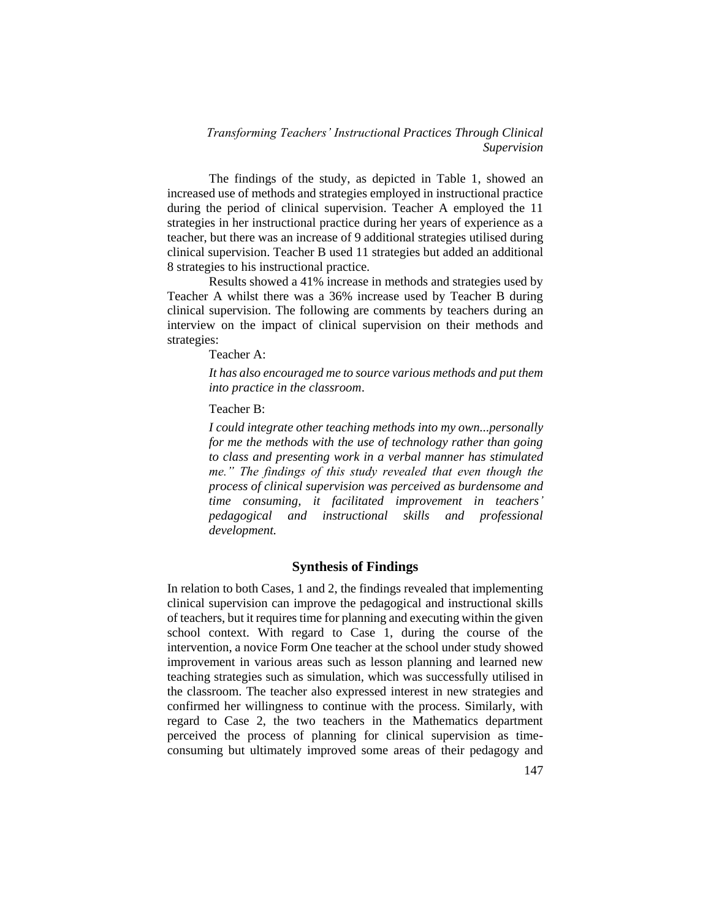The findings of the study, as depicted in Table 1, showed an increased use of methods and strategies employed in instructional practice during the period of clinical supervision. Teacher A employed the 11 strategies in her instructional practice during her years of experience as a teacher, but there was an increase of 9 additional strategies utilised during clinical supervision. Teacher B used 11 strategies but added an additional 8 strategies to his instructional practice.

Results showed a 41% increase in methods and strategies used by Teacher A whilst there was a 36% increase used by Teacher B during clinical supervision. The following are comments by teachers during an interview on the impact of clinical supervision on their methods and strategies:

Teacher A:

*It has also encouraged me to source various methods and put them into practice in the classroom*.

Teacher B:

*I could integrate other teaching methods into my own...personally for me the methods with the use of technology rather than going to class and presenting work in a verbal manner has stimulated me." The findings of this study revealed that even though the process of clinical supervision was perceived as burdensome and time consuming, it facilitated improvement in teachers' pedagogical and instructional skills and professional development.*

## **Synthesis of Findings**

In relation to both Cases, 1 and 2, the findings revealed that implementing clinical supervision can improve the pedagogical and instructional skills of teachers, but it requires time for planning and executing within the given school context. With regard to Case 1, during the course of the intervention, a novice Form One teacher at the school under study showed improvement in various areas such as lesson planning and learned new teaching strategies such as simulation, which was successfully utilised in the classroom. The teacher also expressed interest in new strategies and confirmed her willingness to continue with the process. Similarly, with regard to Case 2, the two teachers in the Mathematics department perceived the process of planning for clinical supervision as timeconsuming but ultimately improved some areas of their pedagogy and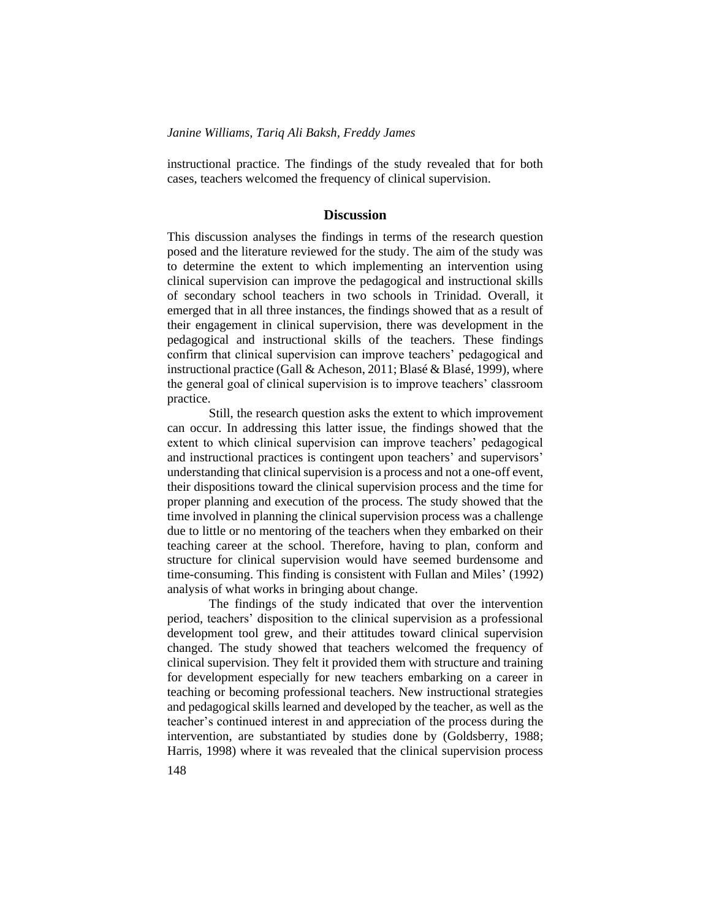instructional practice. The findings of the study revealed that for both cases, teachers welcomed the frequency of clinical supervision.

#### **Discussion**

This discussion analyses the findings in terms of the research question posed and the literature reviewed for the study. The aim of the study was to determine the extent to which implementing an intervention using clinical supervision can improve the pedagogical and instructional skills of secondary school teachers in two schools in Trinidad. Overall, it emerged that in all three instances, the findings showed that as a result of their engagement in clinical supervision, there was development in the pedagogical and instructional skills of the teachers. These findings confirm that clinical supervision can improve teachers' pedagogical and instructional practice (Gall & Acheson, 2011; Blasé & Blasé, 1999), where the general goal of clinical supervision is to improve teachers' classroom practice.

Still, the research question asks the extent to which improvement can occur. In addressing this latter issue, the findings showed that the extent to which clinical supervision can improve teachers' pedagogical and instructional practices is contingent upon teachers' and supervisors' understanding that clinical supervision is a process and not a one-off event, their dispositions toward the clinical supervision process and the time for proper planning and execution of the process. The study showed that the time involved in planning the clinical supervision process was a challenge due to little or no mentoring of the teachers when they embarked on their teaching career at the school. Therefore, having to plan, conform and structure for clinical supervision would have seemed burdensome and time-consuming. This finding is consistent with Fullan and Miles' (1992) analysis of what works in bringing about change.

The findings of the study indicated that over the intervention period, teachers' disposition to the clinical supervision as a professional development tool grew, and their attitudes toward clinical supervision changed. The study showed that teachers welcomed the frequency of clinical supervision. They felt it provided them with structure and training for development especially for new teachers embarking on a career in teaching or becoming professional teachers. New instructional strategies and pedagogical skills learned and developed by the teacher, as well as the teacher's continued interest in and appreciation of the process during the intervention, are substantiated by studies done by (Goldsberry, 1988; Harris, 1998) where it was revealed that the clinical supervision process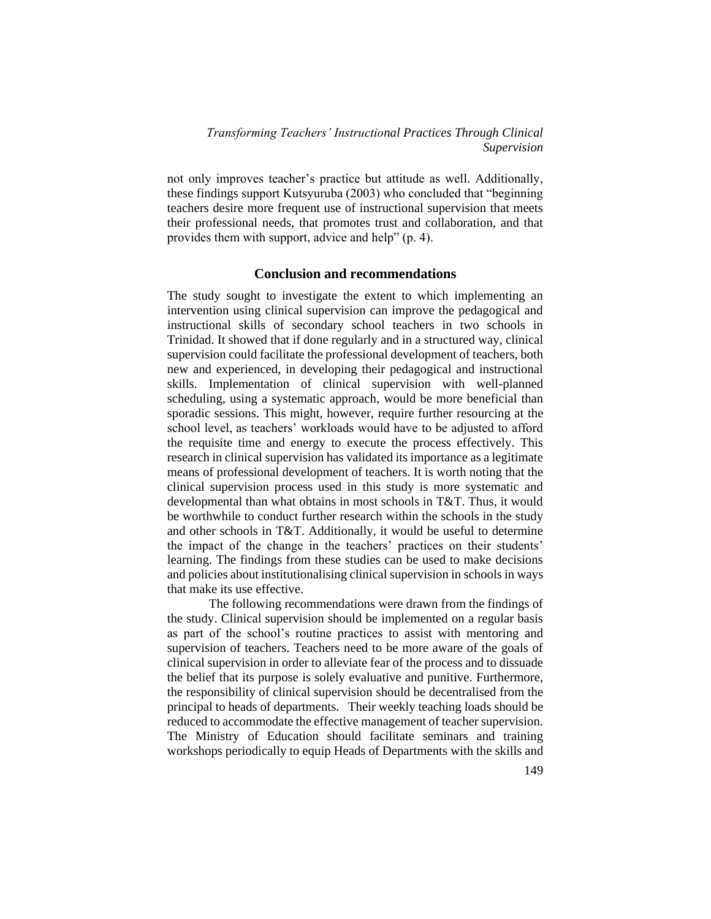not only improves teacher's practice but attitude as well. Additionally, these findings support Kutsyuruba (2003) who concluded that "beginning teachers desire more frequent use of instructional supervision that meets their professional needs, that promotes trust and collaboration, and that provides them with support, advice and help" (p. 4).

## **Conclusion and recommendations**

The study sought to investigate the extent to which implementing an intervention using clinical supervision can improve the pedagogical and instructional skills of secondary school teachers in two schools in Trinidad. It showed that if done regularly and in a structured way, clinical supervision could facilitate the professional development of teachers, both new and experienced, in developing their pedagogical and instructional skills. Implementation of clinical supervision with well-planned scheduling, using a systematic approach, would be more beneficial than sporadic sessions. This might, however, require further resourcing at the school level, as teachers' workloads would have to be adjusted to afford the requisite time and energy to execute the process effectively. This research in clinical supervision has validated its importance as a legitimate means of professional development of teachers. It is worth noting that the clinical supervision process used in this study is more systematic and developmental than what obtains in most schools in T&T. Thus, it would be worthwhile to conduct further research within the schools in the study and other schools in T&T. Additionally, it would be useful to determine the impact of the change in the teachers' practices on their students' learning. The findings from these studies can be used to make decisions and policies about institutionalising clinical supervision in schools in ways that make its use effective.

The following recommendations were drawn from the findings of the study. Clinical supervision should be implemented on a regular basis as part of the school's routine practices to assist with mentoring and supervision of teachers. Teachers need to be more aware of the goals of clinical supervision in order to alleviate fear of the process and to dissuade the belief that its purpose is solely evaluative and punitive. Furthermore, the responsibility of clinical supervision should be decentralised from the principal to heads of departments. Their weekly teaching loads should be reduced to accommodate the effective management of teacher supervision. The Ministry of Education should facilitate seminars and training workshops periodically to equip Heads of Departments with the skills and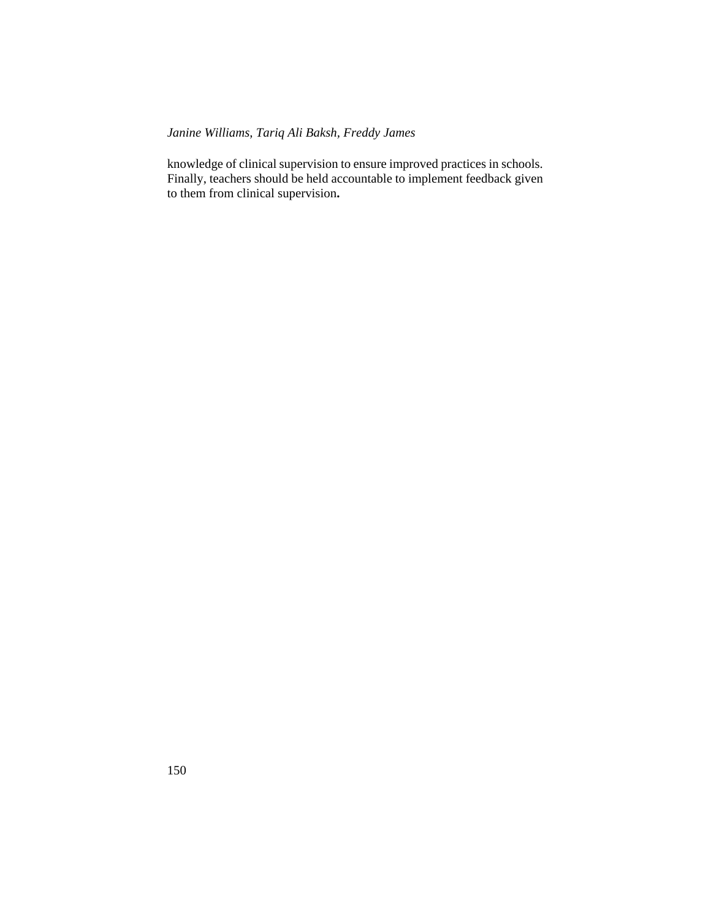knowledge of clinical supervision to ensure improved practices in schools. Finally, teachers should be held accountable to implement feedback given to them from clinical supervision**.**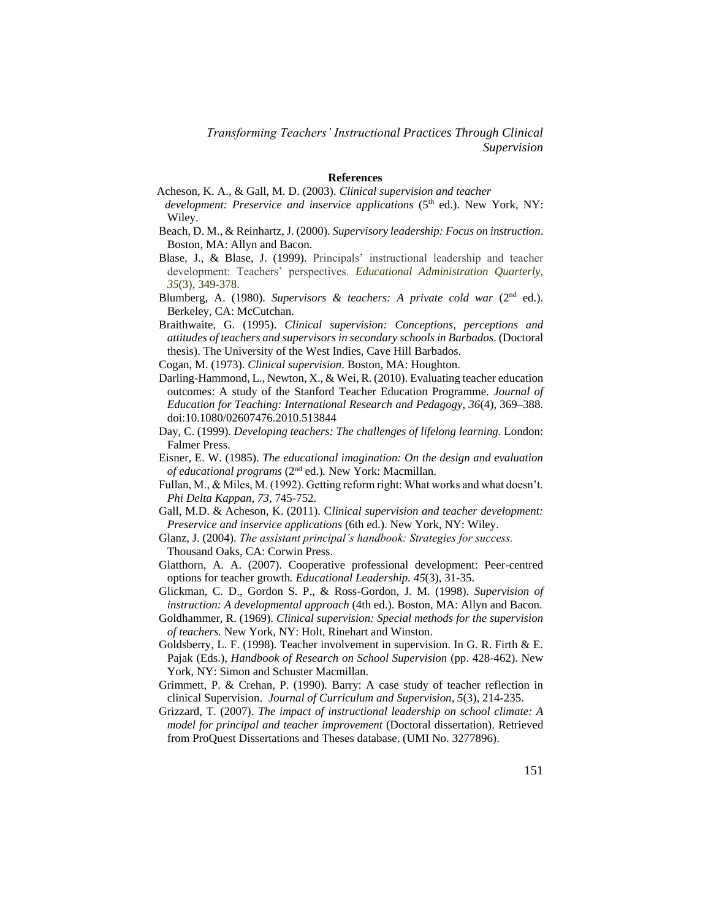#### **References**

- Acheson, K. A., & Gall, M. D. (2003). *Clinical supervision and teacher development: Preservice and inservice applications* (5<sup>th</sup> ed.). New York, NY:
	- Wiley.
- Beach, D. M., & Reinhartz, J. (2000). *Supervisory leadership: Focus on instruction*. Boston, MA: Allyn and Bacon.
- Blase, J., & Blase, J. (1999). Principals' instructional leadership and teacher development: Teachers' perspectives. *Educational Administration Quarterly*, *35*(3), 349-378.
- Blumberg, A. (1980). *Supervisors & teachers: A private cold war* (2<sup>nd</sup> ed.). Berkeley, CA: McCutchan.
- Braithwaite, G. (1995). *Clinical supervision: Conceptions, perceptions and attitudes of teachers and supervisors in secondary schools in Barbados*. (Doctoral thesis). The University of the West Indies, Cave Hill Barbados.
- Cogan, M. (1973). *Clinical supervision*. Boston, MA: Houghton.
- Darling-Hammond, L., Newton, X., & Wei, R. (2010). Evaluating teacher education outcomes: A study of the Stanford Teacher Education Programme. *Journal of Education for Teaching: International Research and Pedagogy, 36*(4), 369–388. doi:10.1080/02607476.2010.513844
- Day, C. (1999). *Developing teachers: The challenges of lifelong learning.* London: Falmer Press.
- Eisner, E. W. (1985). *The educational imagination: On the design and evaluation of educational programs* (2nd ed.)*.* New York: Macmillan.
- Fullan, M., & Miles, M. (1992). Getting reform right: What works and what doesn't. *Phi Delta Kappan, 73,* 745-752.
- Gall, M.D. & Acheson, K. (2011). C*linical supervision and teacher development: Preservice and inservice applications* (6th ed.). New York, NY: Wiley.
- Glanz, J. (2004). *The assistant principal's handbook: Strategies for success.* Thousand Oaks, CA: Corwin Press.
- Glatthorn, A. A. (2007). Cooperative professional development: Peer-centred options for teacher growth*. Educational Leadership. 45*(3), 31-35.
- Glickman, C. D., Gordon S. P., & Ross-Gordon, J. M. (1998). *Supervision of instruction: A developmental approach* (4th ed.). Boston, MA: Allyn and Bacon.
- Goldhammer, R. (1969). *Clinical supervision: Special methods for the supervision of teachers.* New York, NY: Holt, Rinehart and Winston.
- Goldsberry, L. F. (1998). Teacher involvement in supervision. In G. R. Firth & E. Pajak (Eds.), *Handbook of Research on School Supervision* (pp. 428-462). New York, NY: Simon and Schuster Macmillan.
- Grimmett, P. & Crehan, P. (1990). Barry: A case study of teacher reflection in clinical Supervision. *Journal of Curriculum and Supervision*, *5*(3), 214-235.
- Grizzard, T. (2007). *The impact of instructional leadership on school climate: A model for principal and teacher improvement* (Doctoral dissertation). Retrieved from ProQuest Dissertations and Theses database. (UMI No. 3277896).